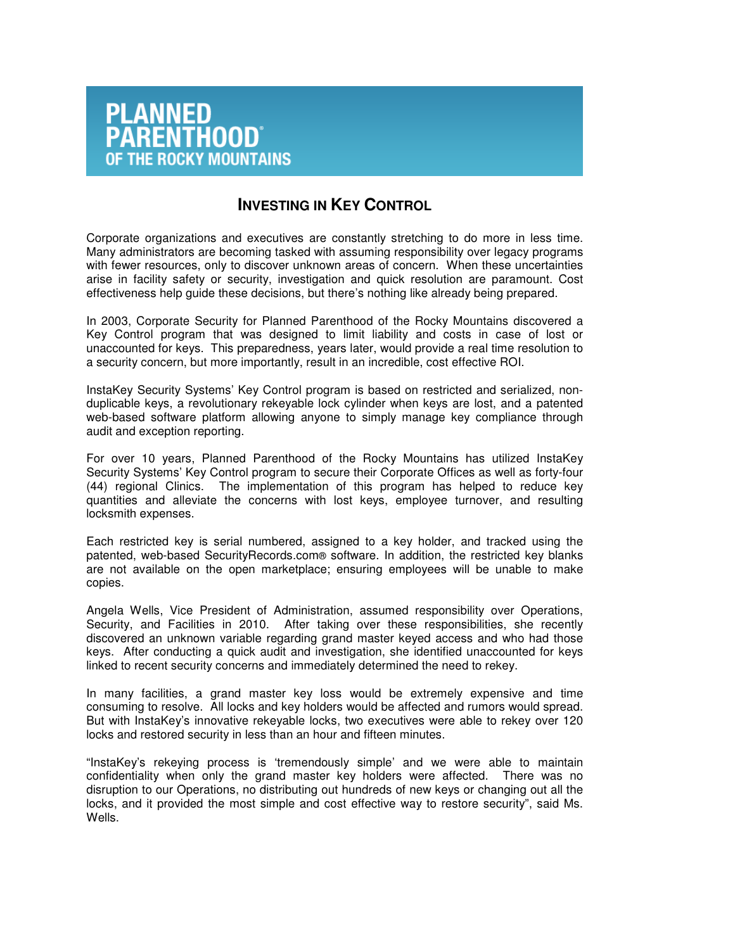

## **INVESTING IN KEY CONTROL**

Corporate organizations and executives are constantly stretching to do more in less time. Many administrators are becoming tasked with assuming responsibility over legacy programs with fewer resources, only to discover unknown areas of concern. When these uncertainties arise in facility safety or security, investigation and quick resolution are paramount. Cost effectiveness help guide these decisions, but there's nothing like already being prepared.

In 2003, Corporate Security for Planned Parenthood of the Rocky Mountains discovered a Key Control program that was designed to limit liability and costs in case of lost or unaccounted for keys. This preparedness, years later, would provide a real time resolution to a security concern, but more importantly, result in an incredible, cost effective ROI.

InstaKey Security Systems' Key Control program is based on restricted and serialized, nonduplicable keys, a revolutionary rekeyable lock cylinder when keys are lost, and a patented web-based software platform allowing anyone to simply manage key compliance through audit and exception reporting.

For over 10 years, Planned Parenthood of the Rocky Mountains has utilized InstaKey Security Systems' Key Control program to secure their Corporate Offices as well as forty-four (44) regional Clinics. The implementation of this program has helped to reduce key quantities and alleviate the concerns with lost keys, employee turnover, and resulting locksmith expenses.

Each restricted key is serial numbered, assigned to a key holder, and tracked using the patented, web-based SecurityRecords.com® software. In addition, the restricted key blanks are not available on the open marketplace; ensuring employees will be unable to make copies.

Angela Wells, Vice President of Administration, assumed responsibility over Operations, Security, and Facilities in 2010. After taking over these responsibilities, she recently discovered an unknown variable regarding grand master keyed access and who had those keys. After conducting a quick audit and investigation, she identified unaccounted for keys linked to recent security concerns and immediately determined the need to rekey.

In many facilities, a grand master key loss would be extremely expensive and time consuming to resolve. All locks and key holders would be affected and rumors would spread. But with InstaKey's innovative rekeyable locks, two executives were able to rekey over 120 locks and restored security in less than an hour and fifteen minutes.

"InstaKey's rekeying process is 'tremendously simple' and we were able to maintain confidentiality when only the grand master key holders were affected. There was no disruption to our Operations, no distributing out hundreds of new keys or changing out all the locks, and it provided the most simple and cost effective way to restore security", said Ms. Wells.